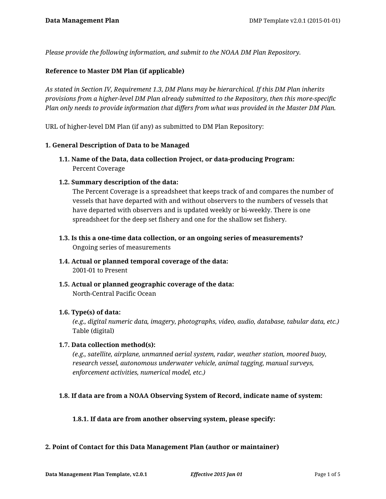*Please provide the following information, and submit to the NOAA DM Plan Repository.*

### **Reference to Master DM Plan (if applicable)**

*As stated in Section IV, Requirement 1.3, DM Plans may be hierarchical. If this DM Plan inherits provisions from a higher-level DM Plan already submitted to the Repository, then this more-specific Plan only needs to provide information that differs from what was provided in the Master DM Plan.*

URL of higher-level DM Plan (if any) as submitted to DM Plan Repository:

### **1. General Description of Data to be Managed**

- **1.1. Name of the Data, data collection Project, or data-producing Program:** Percent Coverage
- **1.2. Summary description of the data:**

The Percent Coverage is a spreadsheet that keeps track of and compares the number of vessels that have departed with and without observers to the numbers of vessels that have departed with observers and is updated weekly or bi-weekly. There is one spreadsheet for the deep set fishery and one for the shallow set fishery.

- **1.3. Is this a one-time data collection, or an ongoing series of measurements?** Ongoing series of measurements
- **1.4. Actual or planned temporal coverage of the data:** 2001-01 to Present
- **1.5. Actual or planned geographic coverage of the data:** North-Central Pacific Ocean

### **1.6. Type(s) of data:**

*(e.g., digital numeric data, imagery, photographs, video, audio, database, tabular data, etc.)* Table (digital)

### **1.7. Data collection method(s):**

*(e.g., satellite, airplane, unmanned aerial system, radar, weather station, moored buoy, research vessel, autonomous underwater vehicle, animal tagging, manual surveys, enforcement activities, numerical model, etc.)*

## **1.8. If data are from a NOAA Observing System of Record, indicate name of system:**

### **1.8.1. If data are from another observing system, please specify:**

### **2. Point of Contact for this Data Management Plan (author or maintainer)**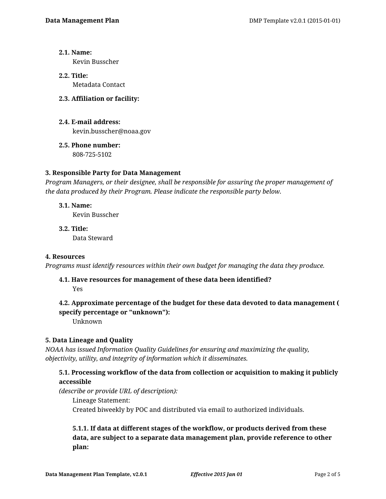## **2.1. Name:**

Kevin Busscher

**2.2. Title:** Metadata Contact

## **2.3. Affiliation or facility:**

- **2.4. E-mail address:** kevin.busscher@noaa.gov
- **2.5. Phone number:** 808-725-5102

## **3. Responsible Party for Data Management**

*Program Managers, or their designee, shall be responsible for assuring the proper management of the data produced by their Program. Please indicate the responsible party below.*

## **3.1. Name:**

Kevin Busscher

**3.2. Title:** Data Steward

## **4. Resources**

*Programs must identify resources within their own budget for managing the data they produce.*

## **4.1. Have resources for management of these data been identified?**

Yes

# **4.2. Approximate percentage of the budget for these data devoted to data management ( specify percentage or "unknown"):**

Unknown

## **5. Data Lineage and Quality**

*NOAA has issued Information Quality Guidelines for ensuring and maximizing the quality, objectivity, utility, and integrity of information which it disseminates.*

## **5.1. Processing workflow of the data from collection or acquisition to making it publicly accessible**

*(describe or provide URL of description):*

Lineage Statement:

Created biweekly by POC and distributed via email to authorized individuals.

# **5.1.1. If data at different stages of the workflow, or products derived from these data, are subject to a separate data management plan, provide reference to other plan:**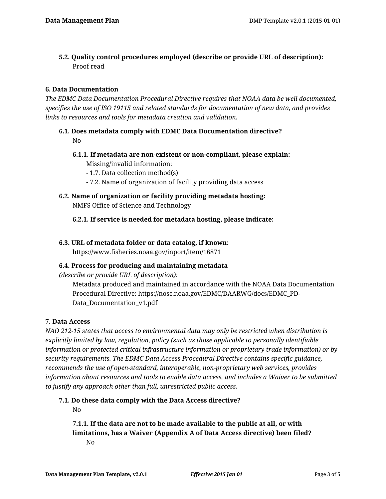**5.2. Quality control procedures employed (describe or provide URL of description):** Proof read

## **6. Data Documentation**

*The EDMC Data Documentation Procedural Directive requires that NOAA data be well documented, specifies the use of ISO 19115 and related standards for documentation of new data, and provides links to resources and tools for metadata creation and validation.*

- **6.1. Does metadata comply with EDMC Data Documentation directive?** No
	- **6.1.1. If metadata are non-existent or non-compliant, please explain:** Missing/invalid information:
		- 1.7. Data collection method(s)
		- 7.2. Name of organization of facility providing data access
- **6.2. Name of organization or facility providing metadata hosting:** NMFS Office of Science and Technology

**6.2.1. If service is needed for metadata hosting, please indicate:**

### **6.3. URL of metadata folder or data catalog, if known:**

https://www.fisheries.noaa.gov/inport/item/16871

### **6.4. Process for producing and maintaining metadata**

*(describe or provide URL of description):*

Metadata produced and maintained in accordance with the NOAA Data Documentation Procedural Directive: https://nosc.noaa.gov/EDMC/DAARWG/docs/EDMC\_PD-Data Documentation v1.pdf

### **7. Data Access**

*NAO 212-15 states that access to environmental data may only be restricted when distribution is explicitly limited by law, regulation, policy (such as those applicable to personally identifiable information or protected critical infrastructure information or proprietary trade information) or by security requirements. The EDMC Data Access Procedural Directive contains specific guidance, recommends the use of open-standard, interoperable, non-proprietary web services, provides information about resources and tools to enable data access, and includes a Waiver to be submitted to justify any approach other than full, unrestricted public access.*

**7.1. Do these data comply with the Data Access directive?** No

**7.1.1. If the data are not to be made available to the public at all, or with limitations, has a Waiver (Appendix A of Data Access directive) been filed?** No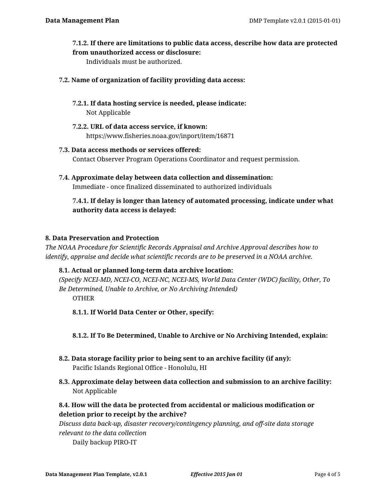### **7.1.2. If there are limitations to public data access, describe how data are protected from unauthorized access or disclosure:**

Individuals must be authorized.

### **7.2. Name of organization of facility providing data access:**

- **7.2.1. If data hosting service is needed, please indicate:** Not Applicable
- **7.2.2. URL of data access service, if known:** https://www.fisheries.noaa.gov/inport/item/16871

# **7.3. Data access methods or services offered:** Contact Observer Program Operations Coordinator and request permission.

**7.4. Approximate delay between data collection and dissemination:** Immediate - once finalized disseminated to authorized individuals

## **7.4.1. If delay is longer than latency of automated processing, indicate under what authority data access is delayed:**

## **8. Data Preservation and Protection**

*The NOAA Procedure for Scientific Records Appraisal and Archive Approval describes how to identify, appraise and decide what scientific records are to be preserved in a NOAA archive.*

## **8.1. Actual or planned long-term data archive location:**

*(Specify NCEI-MD, NCEI-CO, NCEI-NC, NCEI-MS, World Data Center (WDC) facility, Other, To Be Determined, Unable to Archive, or No Archiving Intended)* OTHER

**8.1.1. If World Data Center or Other, specify:**

**8.1.2. If To Be Determined, Unable to Archive or No Archiving Intended, explain:**

- **8.2. Data storage facility prior to being sent to an archive facility (if any):** Pacific Islands Regional Office - Honolulu, HI
- **8.3. Approximate delay between data collection and submission to an archive facility:** Not Applicable
- **8.4. How will the data be protected from accidental or malicious modification or deletion prior to receipt by the archive?**

*Discuss data back-up, disaster recovery/contingency planning, and off-site data storage relevant to the data collection*

Daily backup PIRO-IT